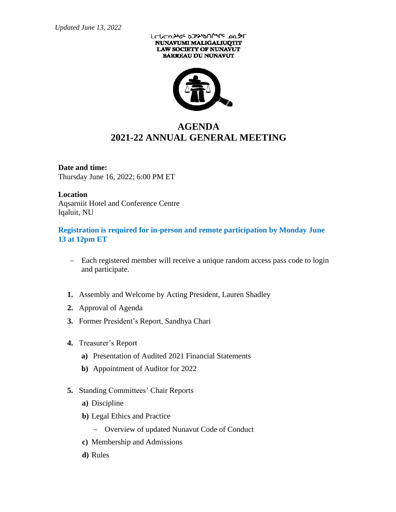## LCLCA שירות וכל האיר מבליך NUNAVUMI MALIGALIUQTIT **LAW SOCIETY OF NUNAVUT BARREAU DU NUNAVUT**



## **AGENDA 2021-22 ANNUAL GENERAL MEETING**

**Date and time:** Thursday June 16, 2022; 6:00 PM ET

## **Location**

Aqsarniit Hotel and Conference Centre Iqaluit, NU

**Registration is required for in-person and remote participation by Monday June 13 at 12pm ET**

- − Each registered member will receive a unique random access pass code to login and participate.
- **1.** Assembly and Welcome by Acting President, Lauren Shadley
- **2.** Approval of Agenda
- **3.** Former President's Report, Sandhya Chari
- **4.** Treasurer's Report
	- **a)** Presentation of Audited 2021 Financial Statements
	- **b)** Appointment of Auditor for 2022
- **5.** Standing Committees' Chair Reports
	- **a)** Discipline
	- **b)** Legal Ethics and Practice
		- − Overview of updated Nunavut Code of Conduct
	- **c)** Membership and Admissions
	- **d)** Rules